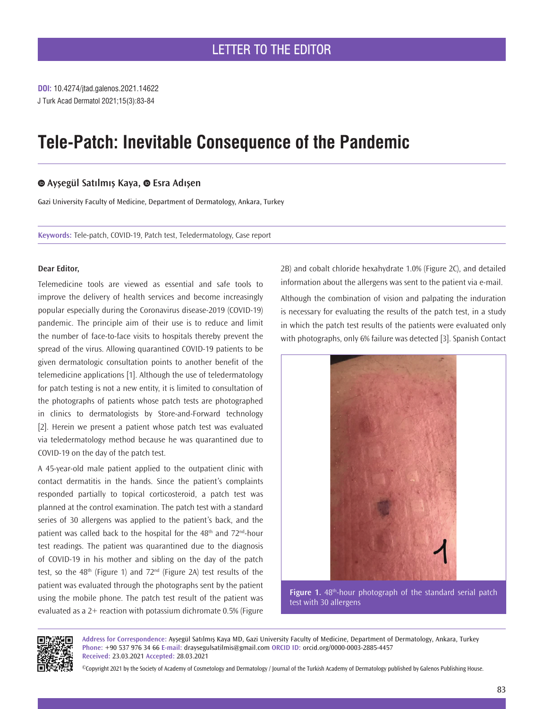**DOI:** 10.4274/jtad.galenos.2021.14622 J Turk Acad Dermatol 2021;15(3):83-84

# **Tele-Patch: Inevitable Consequence of the Pandemic**

# **Ayşegül Satılmış Kaya,Esra Adışen**

Gazi University Faculty of Medicine, Department of Dermatology, Ankara, Turkey

**Keywords:** Tele-patch, COVID-19, Patch test, Teledermatology, Case report

#### **Dear Editor,**

Telemedicine tools are viewed as essential and safe tools to improve the delivery of health services and become increasingly popular especially during the Coronavirus disease-2019 (COVID-19) pandemic. The principle aim of their use is to reduce and limit the number of face-to-face visits to hospitals thereby prevent the spread of the virus. Allowing quarantined COVID-19 patients to be given dermatologic consultation points to another benefit of the telemedicine applications [1]. Although the use of teledermatology for patch testing is not a new entity, it is limited to consultation of the photographs of patients whose patch tests are photographed in clinics to dermatologists by Store-and-Forward technology [2]. Herein we present a patient whose patch test was evaluated via teledermatology method because he was quarantined due to COVID-19 on the day of the patch test.

A 45-year-old male patient applied to the outpatient clinic with contact dermatitis in the hands. Since the patient's complaints responded partially to topical corticosteroid, a patch test was planned at the control examination. The patch test with a standard series of 30 allergens was applied to the patient's back, and the patient was called back to the hospital for the  $48<sup>th</sup>$  and  $72<sup>nd</sup>$ -hour test readings. The patient was quarantined due to the diagnosis of COVID-19 in his mother and sibling on the day of the patch test, so the  $48<sup>th</sup>$  (Figure 1) and  $72<sup>nd</sup>$  (Figure 2A) test results of the patient was evaluated through the photographs sent by the patient using the mobile phone. The patch test result of the patient was evaluated as a 2+ reaction with potassium dichromate 0.5% (Figure 2B) and cobalt chloride hexahydrate 1.0% (Figure 2C), and detailed information about the allergens was sent to the patient via e-mail.

Although the combination of vision and palpating the induration is necessary for evaluating the results of the patch test, in a study in which the patch test results of the patients were evaluated only with photographs, only 6% failure was detected [3]. Spanish Contact



Figure 1. 48<sup>th</sup>-hour photograph of the standard serial patch test with 30 allergens



**Address for Correspondence:** Ayşegül Satılmış Kaya MD, Gazi University Faculty of Medicine, Department of Dermatology, Ankara, Turkey **Phone:** +90 537 976 34 66 **E-mail:** draysegulsatilmis@gmail.com **ORCID ID:** orcid.org/0000-0003-2885-4457 **Received:** 23.03.2021 **Accepted:** 28.03.2021

©Copyright 2021 by the Society of Academy of Cosmetology and Dermatology / Journal of the Turkish Academy of Dermatology published by Galenos Publishing House.